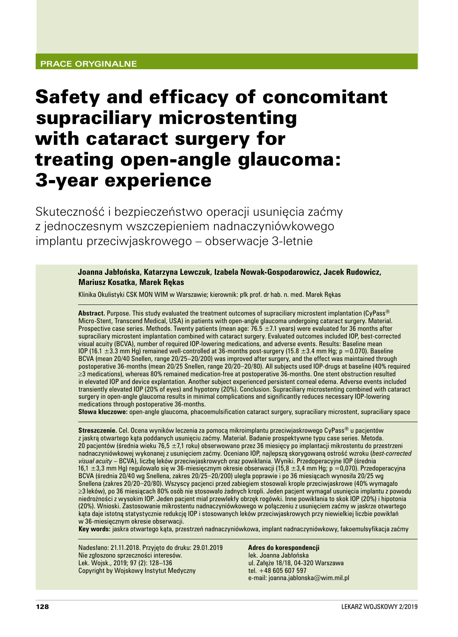# Safety and efficacy of concomitant supraciliary microstenting with cataract surgery for treating open‑angle glaucoma: 3‑year experience

Skuteczność i bezpieczeństwo operacji usunięcia zaćmy z jednoczesnym wszczepieniem nadnaczyniówkowego implantu przeciwjaskrowego – obserwacje 3-letnie

> **Joanna Jabłońska, Katarzyna Lewczuk, Izabela Nowak‑Gospodarowicz, Jacek Rudowicz, Mariusz Kosatka, Marek Rękas**

Klinika Okulistyki CSK MON WIM w Warszawie; kierownik: płk prof. dr hab. n. med. Marek Rękas

**Abstract.** Purpose. This study evaluated the treatment outcomes of supraciliary microstent implantation (CyPass® Micro‑Stent, Transcend Medical, USA) in patients with open‑angle glaucoma undergoing cataract surgery. Material. Prospective case series. Methods. Twenty patients (mean age: 76.5  $\pm$ 7.1 years) were evaluated for 36 months after supraciliary microstent implantation combined with cataract surgery. Evaluated outcomes included IOP, best-corrected visual acuity (BCVA), number of required IOP‑lowering medications, and adverse events. Results: Baseline mean IOP (16.1  $\pm$ 3.3 mm Hg) remained well-controlled at 36-months post-surgery (15.8  $\pm$ 3.4 mm Hg; p =0.070). Baseline BCVA (mean 20/40 Snellen, range 20/25–20/200) was improved after surgery, and the effect was maintained through postoperative 36‑months (mean 20/25 Snellen, range 20/20–20/80). All subjects used IOP‑drugs at baseline (40% required ≥3 medications), whereas 80% remained medication‑free at postoperative 36‑months. One stent obstruction resulted in elevated IOP and device explantation. Another subject experienced persistent corneal edema. Adverse events included transiently elevated IOP (20% of eyes) and hypotony (20%). Conclusion. Supraciliary microstenting combined with cataract surgery in open-angle glaucoma results in minimal complications and significantly reduces necessary IOP-lowering medications through postoperative 36‑months.

Słowa kluczowe: open-angle glaucoma, phacoemulsification cataract surgery, supraciliary microstent, supraciliary space

**Streszczenie.** Cel. Ocena wyników leczenia za pomocą mikroimplantu przeciwjaskrowego CyPass® u pacjentów z jaskrą otwartego kąta poddanych usunięciu zaćmy. Materiał. Badanie prospektywne typu case series. Metoda. 20 pacjentów (średnia wieku 76,5  $\pm$ 7,1 roku) obserwowano przez 36 miesięcy po implantacji mikrostentu do przestrzeni nadnaczyniówkowej wykonanej z usunięciem zaćmy. Oceniano IOP, najlepszą skorygowaną ostrość wzroku (*best‑corrected visual acuity* – BCVA), liczbę leków przeciwjaskrowych oraz powikłania. Wyniki. Przedoperacyjne IOP (średnia 16,1 ±3,3 mm Hg) regulowało się w 36‑miesięcznym okresie obserwacji (15,8 ±3,4 mm Hg; p =0,070). Przedoperacyjna BCVA (średnia 20/40 wg Snellena, zakres 20/25–20/200) uległa poprawie i po 36 miesiącach wynosiła 20/25 wg Snellena (zakres 20/20–20/80). Wszyscy pacjenci przed zabiegiem stosowali krople przeciwjaskrowe (40% wymagało ≥3 leków), po 36 miesiącach 80% osób nie stosowało żadnych kropli. Jeden pacjent wymagał usunięcia implantu z powodu niedrożności z wysokim IOP. Jeden pacjent miał przewlekły obrzęk rogówki. Inne powikłania to skok IOP (20%) i hipotonia (20%). Wnioski. Zastosowanie mikrostentu nadnaczyniówkowego w połączeniu z usunięciem zaćmy w jaskrze otwartego kąta daje istotną statystycznie redukcję IOP i stosowanych leków przeciwjaskrowych przy niewielkiej liczbie powikłań w 36‑miesięcznym okresie obserwacji.

**Key words:** jaskra otwartego kąta, przestrzeń nadnaczyniówkowa, implant nadnaczyniówkowy, fakoemulsyfikacja zaćmy

Nadesłano: 21.11.2018. Przyjęto do druku: 29.01.2019 Nie zgłoszono sprzeczności interesów. Lek. Wojsk., 2019; 97 (2): 128–136 Copyright by Wojskowy Instytut Medyczny

**Adres do korespondencji** lek. Joanna Jabłońska ul. Załęże 18/18, 04-320 Warszawa tel. +48 605 607 597 e‑mail: joanna.jablonska@wim.mil.pl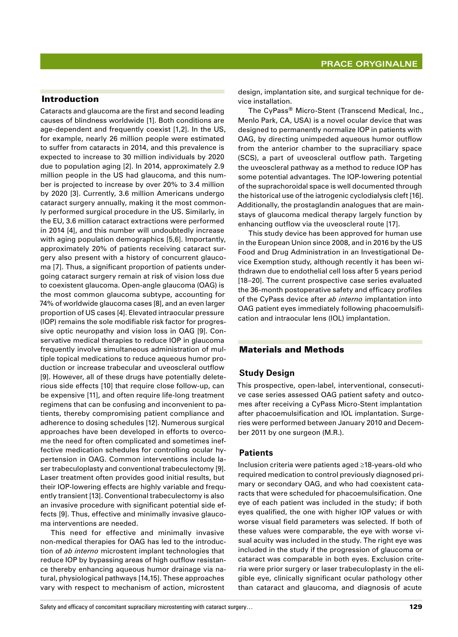## Introduction

Cataracts and glaucoma are the first and second leading causes of blindness worldwide [1]. Both conditions are age-dependent and frequently coexist [1,2]. In the US, for example, nearly 26 million people were estimated to suffer from cataracts in 2014, and this prevalence is expected to increase to 30 million individuals by 2020 due to population aging [2]. In 2014, approximately 2.9 million people in the US had glaucoma, and this number is projected to increase by over 20% to 3.4 million by 2020 [3]. Currently, 3.6 million Americans undergo cataract surgery annually, making it the most commonly performed surgical procedure in the US. Similarly, in the EU, 3.6 million cataract extractions were performed in 2014 [4], and this number will undoubtedly increase with aging population demographics [5,6]. Importantly, approximately 20% of patients receiving cataract surgery also present with a history of concurrent glaucoma [7]. Thus, a significant proportion of patients undergoing cataract surgery remain at risk of vision loss due to coexistent glaucoma. Open‑angle glaucoma (OAG) is the most common glaucoma subtype, accounting for 74% of worldwide glaucoma cases [8], and an even larger proportion of US cases [4]. Elevated intraocular pressure (IOP) remains the sole modifiable risk factor for progres‑ sive optic neuropathy and vision loss in OAG [9]. Conservative medical therapies to reduce IOP in glaucoma frequently involve simultaneous administration of multiple topical medications to reduce aqueous humor production or increase trabecular and uveoscleral outflow [9]. However, all of these drugs have potentially deleterious side effects [10] that require close follow‑up, can be expensive [11], and often require life-long treatment regimens that can be confusing and inconvenient to pa‑ tients, thereby compromising patient compliance and adherence to dosing schedules [12]. Numerous surgical approaches have been developed in efforts to overcome the need for often complicated and sometimes ineffective medication schedules for controlling ocular hypertension in OAG. Common interventions include laser trabeculoplasty and conventional trabeculectomy [9]. Laser treatment often provides good initial results, but their IOP-lowering effects are highly variable and frequently transient [13]. Conventional trabeculectomy is also an invasive procedure with significant potential side effects [9]. Thus, effective and minimally invasive glaucoma interventions are needed.

This need for effective and minimally invasive non-medical therapies for OAG has led to the introduction of *ab interno* microstent implant technologies that reduce IOP by bypassing areas of high outflow resistance thereby enhancing aqueous humor drainage via na‑ tural, physiological pathways [14,15]. These approaches vary with respect to mechanism of action, microstent design, implantation site, and surgical technique for device installation.

The CyPass<sup>®</sup> Micro-Stent (Transcend Medical, Inc., Menlo Park, CA, USA) is a novel ocular device that was designed to permanently normalize IOP in patients with OAG, by directing unimpeded aqueous humor outflow from the anterior chamber to the supraciliary space (SCS), a part of uveoscleral outflow path. Targeting the uveoscleral pathway as a method to reduce IOP has some potential advantages. The IOP-lowering potential of the suprachoroidal space is well documented through the historical use of the iatrogenic cyclodialysis cleft [16]. Additionally, the prostaglandin analogues that are mainstays of glaucoma medical therapy largely function by enhancing outflow via the uveoscleral route [17].

This study device has been approved for human use in the European Union since 2008, and in 2016 by the US Food and Drug Administration in an Investigational De‑ vice Exemption study, although recently it has been withdrawn due to endothelial cell loss after 5 years period [18–20]. The current prospective case series evaluated the 36‑month postoperative safety and efficacy profiles of the CyPass device after *ab interno* implantation into OAG patient eyes immediately following phacoemulsification and intraocular lens (IOL) implantation.

#### Materials and Methods

#### **Study Design**

This prospective, open-label, interventional, consecutive case series assessed OAG patient safety and outcomes after receiving a CyPass Micro‑Stent implantation after phacoemulsification and IOL implantation. Surgeries were performed between January 2010 and Decem‑ ber 2011 by one surgeon (M.R.).

#### **Patients**

Inclusion criteria were patients aged ≥18‑years‑old who required medication to control previously diagnosed primary or secondary OAG, and who had coexistent cataracts that were scheduled for phacoemulsification. One eye of each patient was included in the study; if both eyes qualified, the one with higher IOP values or with worse visual field parameters was selected. If both of these values were comparable, the eye with worse visual acuity was included in the study. The right eye was included in the study if the progression of glaucoma or cataract was comparable in both eyes. Exclusion criteria were prior surgery or laser trabeculoplasty in the eligible eye, clinically significant ocular pathology other than cataract and glaucoma, and diagnosis of acute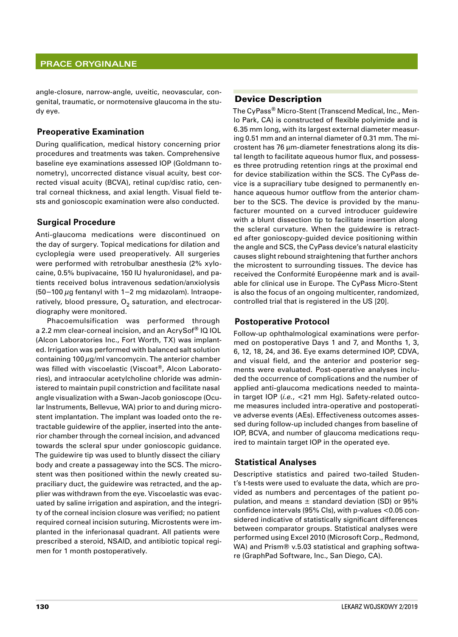angle-closure, narrow-angle, uveitic, neovascular, congenital, traumatic, or normotensive glaucoma in the study eye.

## **Preoperative Examination**

During qualification, medical history concerning prior procedures and treatments was taken. Comprehensive baseline eye examinations assessed IOP (Goldmann tonometry), uncorrected distance visual acuity, best corrected visual acuity (BCVA), retinal cup/disc ratio, central corneal thickness, and axial length. Visual field te‑ sts and gonioscopic examination were also conducted.

#### **Surgical Procedure**

Anti-glaucoma medications were discontinued on the day of surgery. Topical medications for dilation and cycloplegia were used preoperatively. All surgeries were performed with retrobulbar anesthesia (2% xylocaine, 0.5% bupivacaine, 150 IU hyaluronidase), and patients received bolus intravenous sedation/anxiolysis (50−100 µg fentanyl with 1−2 mg midazolam). Intraope‑ ratively, blood pressure,  $O<sub>2</sub>$  saturation, and electrocardiography were monitored.

Phacoemulsification was performed through a 2.2 mm clear-corneal incision, and an AcrySof<sup>®</sup> IQ IOL (Alcon Laboratories Inc., Fort Worth, TX) was implanted. Irrigation was performed with balanced salt solution containing  $100 \mu g/ml$  vancomycin. The anterior chamber was filled with viscoelastic (Viscoat®, Alcon Laboratories), and intraocular acetylcholine chloride was administered to maintain pupil constriction and facilitate nasal angle visualization with a Swan-Jacob gonioscope (Ocular Instruments, Bellevue, WA) prior to and during microstent implantation. The implant was loaded onto the re‑ tractable guidewire of the applier, inserted into the ante‑ rior chamber through the corneal incision, and advanced towards the scleral spur under gonioscopic guidance. The guidewire tip was used to bluntly dissect the ciliary body and create a passageway into the SCS. The microstent was then positioned within the newly created supraciliary duct, the guidewire was retracted, and the applier was withdrawn from the eye. Viscoelastic was evacuated by saline irrigation and aspiration, and the integrity of the corneal incision closure was verified; no patient required corneal incision suturing. Microstents were im‑ planted in the inferionasal quadrant. All patients were prescribed a steroid, NSAID, and antibiotic topical regimen for 1 month postoperatively.

#### Device Description

The CyPass® Micro-Stent (Transcend Medical, Inc., Menlo Park, CA) is constructed of flexible polyimide and is 6.35 mm long, with its largest external diameter measuring 0.51 mm and an internal diameter of 0.31 mm. The microstent has 76 μm‑diameter fenestrations along its dis‑ tal length to facilitate aqueous humor flux, and possesses three protruding retention rings at the proximal end for device stabilization within the SCS. The CyPass device is a supraciliary tube designed to permanently enhance aqueous humor outflow from the anterior chamber to the SCS. The device is provided by the manufacturer mounted on a curved introducer guidewire with a blunt dissection tip to facilitate insertion along the scleral curvature. When the guidewire is retracted after gonioscopy‑guided device positioning within the angle and SCS, the CyPass device's natural elasticity causes slight rebound straightening that further anchors the microstent to surrounding tissues. The device has received the Conformité Européenne mark and is available for clinical use in Europe. The CyPass Micro‑Stent is also the focus of an ongoing multicenter, randomized, controlled trial that is registered in the US [20].

#### **Postoperative Protocol**

Follow-up ophthalmological examinations were performed on postoperative Days 1 and 7, and Months 1, 3, 6, 12, 18, 24, and 36. Eye exams determined IOP, CDVA, and visual field, and the anterior and posterior segments were evaluated. Post-operative analyses included the occurrence of complications and the number of applied anti-glaucoma medications needed to maintain target IOP (*i.e.*, <21 mm Hg). Safety-related outcome measures included intra-operative and postoperative adverse events (AEs). Effectiveness outcomes asses‑ sed during follow-up included changes from baseline of IOP, BCVA, and number of glaucoma medications required to maintain target IOP in the operated eye.

## **Statistical Analyses**

Descriptive statistics and paired two-tailed Student's t-tests were used to evaluate the data, which are provided as numbers and percentages of the patient population, and means  $\pm$  standard deviation (SD) or 95% confidence intervals (95% Cls), with p-values <0.05 considered indicative of statistically significant differences between comparator groups. Statistical analyses were performed using Excel 2010 (Microsoft Corp., Redmond, WA) and Prism® v.5.03 statistical and graphing software (GraphPad Software, Inc., San Diego, CA).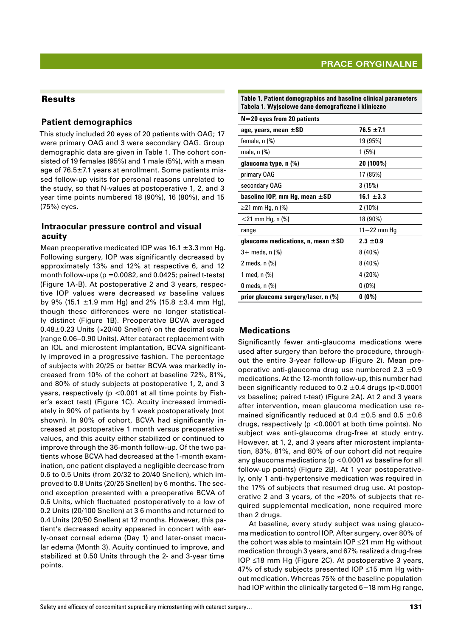# Results

#### **Patient demographics**

This study included 20 eyes of 20 patients with OAG; 17 were primary OAG and 3 were secondary OAG. Group demographic data are given in Table 1. The cohort consisted of 19 females (95%) and 1 male (5%), with a mean age of 76.5±7.1 years at enrollment. Some patients missed follow-up visits for personal reasons unrelated to the study, so that N-values at postoperative 1, 2, and 3 year time points numbered 18 (90%), 16 (80%), and 15 (75%) eyes.

#### **Intraocular pressure control and visual acuity**

Mean preoperative medicated IOP was 16.1  $\pm$ 3.3 mm Hg. Following surgery, IOP was significantly decreased by approximately 13% and 12% at respective 6, and 12 month follow-ups ( $p = 0.0082$ , and 0.0425; paired t-tests) (Figure 1A‑B). At postoperative 2 and 3 years, respec‑ tive IOP values were decreased *vs*  baseline values by 9% (15.1  $\pm$ 1.9 mm Hg) and 2% (15.8  $\pm$ 3.4 mm Hg), though these differences were no longer statistical‑ ly distinct (Figure 1B). Preoperative BCVA averaged 0.48±0.23 Units (≈20/40 Snellen) on the decimal scale (range 0.06–0.90 Units). After cataract replacement with an IOL and microstent implantation, BCVA significantly improved in a progressive fashion. The percentage of subjects with 20/25 or better BCVA was markedly increased from 10% of the cohort at baseline 72%, 81%, and 80% of study subjects at postoperative 1, 2, and 3 years, respectively (p <0.001 at all time points by Fisher's exact test) (Figure 1C). Acuity increased immediately in 90% of patients by 1 week postoperatively (not shown). In 90% of cohort, BCVA had significantly increased at postoperative 1 month versus preoperative values, and this acuity either stabilized or continued to improve through the 36-month follow-up. Of the two patients whose BCVA had decreased at the 1-month examination, one patient displayed a negligible decrease from 0.6 to 0.5 Units (from 20/32 to 20/40 Snellen), which im‑ proved to 0.8 Units (20/25 Snellen) by 6 months. The second exception presented with a preoperative BCVA of 0.6 Units, which fluctuated postoperatively to a low of 0.2 Units (20/100 Snellen) at 3 6 months and returned to 0.4 Units (20/50 Snellen) at 12 months. However, this patient's decreased acuity appeared in concert with early-onset corneal edema (Day 1) and later-onset macular edema (Month 3). Acuity continued to improve, and stabilized at 0.50 Units through the 2- and 3‑year time points.

| Table 1. Patient demographics and baseline clinical parameters |
|----------------------------------------------------------------|
| Tabela 1. Wyjsciowe dane demograficzne i kliniczne             |

| $N = 20$ eyes from 20 patients         |                 |
|----------------------------------------|-----------------|
| age, years, mean $\pm$ SD              | $76.5 + 7.1$    |
| female, n (%)                          | 19 (95%)        |
| male, n (%)                            | 1 (5%)          |
| glaucoma type, n (%)                   | 20 (100%)       |
| primary OAG                            | 17 (85%)        |
| secondary OAG                          | 3(15%)          |
| baseline IOP, mm Hg, mean $\pm$ SD     | $16.1 \pm 3.3$  |
| ≥21 mm Hg, n (%)                       | $2(10\%)$       |
| $<$ 21 mm Hg, n (%)                    | 18 (90%)        |
| range                                  | $11 - 22$ mm Hg |
| glaucoma medications, n, mean $\pm$ SD | $2.3 + 0.9$     |
| 3+ meds, n (%)                         | 8 (40%)         |
| 2 meds, n (%)                          | 8 (40%)         |
| 1 med, n (%)                           | 4 (20%)         |
| 0 meds, n (%)                          | $0(0\%)$        |
| prior glaucoma surgery/laser, n (%)    | $0(0\%)$        |

## **Medications**

Significantly fewer anti-glaucoma medications were used after surgery than before the procedure, throughout the entire 3-year follow-up (Figure 2). Mean preoperative anti-glaucoma drug use numbered  $2.3 \pm 0.9$ medications. At the 12‑month follow‑up, this number had been significantly reduced to 0.2  $\pm$ 0.4 drugs (p<0.0001 *vs* baseline; paired t‑test) (Figure 2A). At 2 and 3 years after intervention, mean glaucoma medication use re‑ mained significantly reduced at 0.4  $\pm$ 0.5 and 0.5  $\pm$ 0.6 drugs, respectively (p <0.0001 at both time points). No subject was anti-glaucoma drug-free at study entry. However, at 1, 2, and 3 years after microstent implantation, 83%, 81%, and 80% of our cohort did not require any glaucoma medications (p <0.0001 *vs* baseline for all follow-up points) (Figure 2B). At 1 year postoperatively, only 1 anti‑hypertensive medication was required in the 17% of subjects that resumed drug use. At postop‑ erative 2 and 3 years, of the  $\approx$ 20% of subjects that required supplemental medication, none required more than 2 drugs.

At baseline, every study subject was using glaucoma medication to control IOP. After surgery, over 80% of the cohort was able to maintain IOP ≤21 mm Hg without medication through 3 years, and 67% realized a drug-free IOP ≤18 mm Hg (Figure 2C). At postoperative 3 years, 47% of study subjects presented IOP ≤15 mm Hg without medication. Whereas 75% of the baseline population had IOP within the clinically targeted 6−18 mm Hg range,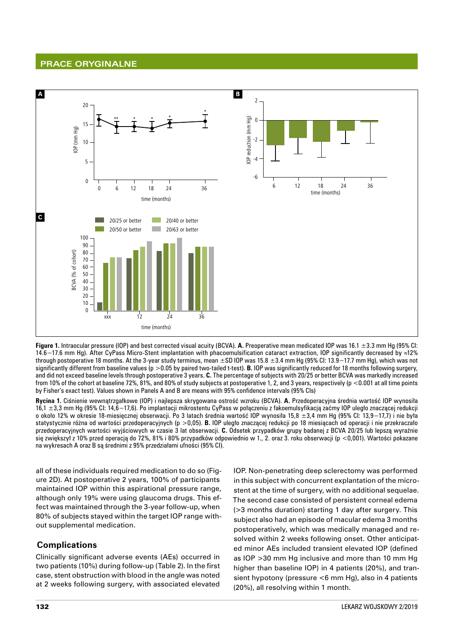

**Figure 1.** Intraocular pressure (IOP) and best corrected visual acuity (BCVA). **A.** Preoperative mean medicated IOP was 16.1 ±3.3 mm Hg (95% CI: 14.6−17.6 mm Hg). After CyPass Micro‑Stent implantation with phacoemulsification cataract extraction, IOP significantly decreased by ≈12% through postoperative 18 months. At the 3‑year study terminus, mean ±SD IOP was 15.8 ±3.4 mm Hg (95% CI: 13.9−17.7 mm Hg), which was not significantly different from baseline values (p > 0.05 by paired two-tailed t-test). **B.** IOP was significantly reduced for 18 months following surgery, and did not exceed baseline levels through postoperative 3 years. **C.** The percentage of subjects with 20/25 or better BCVA was markedly increased from 10% of the cohort at baseline 72%, 81%, and 80% of study subjects at postoperative 1, 2, and 3 years, respectively (p <0.001 at all time points by Fisher's exact test). Values shown in Panels A and B are means with 95% confidence intervals (95% CIs)

**Rycina 1.** Ciśnienie wewnątrzgałkowe (IOP) i najlepsza skrygowana ostrość wzroku (BCVA). **A.** Przedoperacyjna średnia wartość IOP wynosiła 16,1 ±3,3 mm Hg (95% CI: 14,6−17,6). Po implantacji mikrostentu CyPass w połączeniu z fakoemulsyfikacją zaćmy IOP uległo znaczącej redukcji o około 12% w okresie 18‑miesięcznej obserwacji. Po 3 latach średnia wartość IOP wynosiła 15,8 ±3,4 mm Hg (95% CI: 13,9−17,7) i nie była statystycznie różna od wartości przedoperacyjnych (p >0,05). **B.** IOP uległo znaczącej redukcji po 18 miesiącach od operacji i nie przekraczało przedoperacyjnych wartości wyjściowych w czasie 3 lat obserwacji. **C.** Odsetek przypadków grupy badanej z BCVA 20/25 lub lepszą wyraźnie się zwiększył z 10% przed operacją do 72%, 81% i 80% przypadków odpowiednio w 1., 2. oraz 3. roku obserwacji (p <0,001). Wartości pokazane na wykresach A oraz B są średnimi z 95% przedziałami ufności (95% CI).

all of these individuals required medication to do so (Figure 2D). At postoperative 2 years, 100% of participants maintained IOP within this aspirational pressure range, although only 19% were using glaucoma drugs. This effect was maintained through the 3‑year follow‑up, when 80% of subjects stayed within the target IOP range without supplemental medication.

## **Complications**

Clinically significant adverse events (AEs) occurred in two patients (10%) during follow‑up (Table 2). In the first case, stent obstruction with blood in the angle was noted at 2 weeks following surgery, with associated elevated

IOP. Non‑penetrating deep sclerectomy was performed in this subject with concurrent explantation of the microstent at the time of surgery, with no additional sequelae. The second case consisted of persistent corneal edema (>3 months duration) starting 1 day after surgery. This subject also had an episode of macular edema 3 months postoperatively, which was medically managed and re‑ solved within 2 weeks following onset. Other anticipated minor AEs included transient elevated IOP (defined as IOP >30 mm Hg inclusive and more than 10 mm Hg higher than baseline IOP) in 4 patients (20%), and transient hypotony (pressure <6 mm Hg), also in 4 patients (20%), all resolving within 1 month.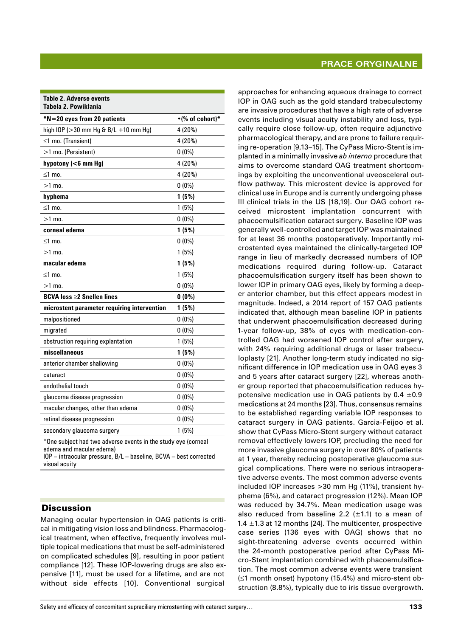| <b>Table 2. Adverse events</b><br>Tabela 2. Powikłania |                 |
|--------------------------------------------------------|-----------------|
| *N=20 eyes from 20 patients                            | •(% of cohort)* |
| high IOP ( $>30$ mm Hg & B/L +10 mm Hg)                | 4 (20%)         |
| $\leq$ 1 mo. (Transient)                               | 4 (20%)         |
| >1 mo. (Persistent)                                    | $0(0\%)$        |
| hypotony $(6$ mm Hg)                                   | 4 (20%)         |
| $\leq$ 1 mo.                                           | 4 (20%)         |
| $>1$ mo.                                               | $0(0\%)$        |
| hyphema                                                | 1(5%)           |
| ≤1 mo.                                                 | 1(5%)           |
| $>1$ mo.                                               | $0(0\%)$        |
| corneal edema                                          | 1(5%)           |
| ≤1 mo.                                                 | $0(0\%)$        |
| $>1$ mo.                                               | 1(5%)           |
| macular edema                                          | 1(5%)           |
| $≤1$ mo.                                               | 1(5%)           |
| $>1$ mo.                                               | $0(0\%)$        |
| BCVA loss ≥2 Snellen lines                             | $0(0\%)$        |
| microstent parameter requiring intervention            | 1(5%)           |
| malpositioned                                          | $0(0\%)$        |
| migrated                                               | $0(0\%)$        |
| obstruction requiring explantation                     | 1(5%)           |
| miscellaneous                                          | 1(5%)           |
| anterior chamber shallowing                            | $0(0\%)$        |
| cataract                                               | $0(0\%)$        |
| endothelial touch                                      | $0(0\%)$        |
| glaucoma disease progression                           | $0(0\%)$        |
| macular changes, other than edema                      | $0(0\%)$        |
| retinal disease progression                            | $0(0\%)$        |
| secondary glaucoma surgery                             | 1(5%)           |
|                                                        |                 |

\*One subject had two adverse events in the study eye (corneal edema and macular edema)

IOP – intraocular pressure, B/L – baseline, BCVA – best corrected visual acuity

## **Discussion**

Managing ocular hypertension in OAG patients is critical in mitigating vision loss and blindness. Pharmacological treatment, when effective, frequently involves multiple topical medications that must be self-administered on complicated schedules [9], resulting in poor patient compliance [12]. These IOP-lowering drugs are also expensive [11], must be used for a lifetime, and are not without side effects [10]. Conventional surgical

approaches for enhancing aqueous drainage to correct IOP in OAG such as the gold standard trabeculectomy are invasive procedures that have a high rate of adverse events including visual acuity instability and loss, typically require close follow‑up, often require adjunctive pharmacological therapy, and are prone to failure requir‑ ing re-operation [9,13-15]. The CyPass Micro-Stent is implanted in a minimally invasive *ab interno* procedure that aims to overcome standard OAG treatment shortcomings by exploiting the unconventional uveosceleral outflow pathway. This microstent device is approved for clinical use in Europe and is currently undergoing phase III clinical trials in the US [18,19]. Our OAG cohort received microstent implantation concurrent with phacoemulsification cataract surgery. Baseline IOP was generally well-controlled and target IOP was maintained for at least 36 months postoperatively. Importantly microstented eyes maintained the clinically‑targeted IOP range in lieu of markedly decreased numbers of IOP medications required during follow‑up. Cataract phacoemulsification surgery itself has been shown to lower IOP in primary OAG eyes, likely by forming a deeper anterior chamber, but this effect appears modest in magnitude. Indeed, a 2014 report of 157 OAG patients indicated that, although mean baseline IOP in patients that underwent phacoemulsification decreased during 1-year follow-up, 38% of eyes with medication-controlled OAG had worsened IOP control after surgery, with 24% requiring additional drugs or laser trabeculoplasty [21]. Another long-term study indicated no significant difference in IOP medication use in OAG eyes 3 and 5 years after cataract surgery [22], whereas another group reported that phacoemulsification reduces hypotensive medication use in OAG patients by  $0.4 \pm 0.9$ medications at 24 months [23]. Thus, consensus remains to be established regarding variable IOP responses to cataract surgery in OAG patients. Garcia‑Feijoo et al. show that CyPass Micro‑Stent surgery without cataract removal effectively lowers IOP, precluding the need for more invasive glaucoma surgery in over 80% of patients at 1 year, thereby reducing postoperative glaucoma surgical complications. There were no serious intraoperative adverse events. The most common adverse events included IOP increases >30 mm Hg (11%), transient hyphema (6%), and cataract progression (12%). Mean IOP was reduced by 34.7%. Mean medication usage was also reduced from baseline 2.2  $(\pm 1.1)$  to a mean of 1.4  $\pm$ 1.3 at 12 months [24]. The multicenter, prospective case series (136 eyes with OAG) shows that no sight-threatening adverse events occurred within the 24-month postoperative period after CyPass Micro-Stent implantation combined with phacoemulsification. The most common adverse events were transient (≤1 month onset) hypotony (15.4%) and micro‑stent ob‑ struction (8.8%), typically due to iris tissue overgrowth.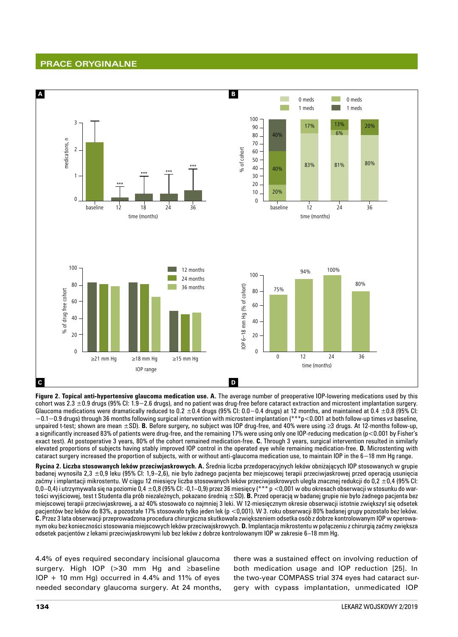

**Figure 2. Topical anti‑hypertensive glaucoma medication use. A.** The average number of preoperative IOP‑lowering medications used by this cohort was 2.3 ±0.9 drugs (95% CI: 1.9−2.6 drugs), and no patient was drug‑free before cataract extraction and microstent implantation surgery. Glaucoma medications were dramatically reduced to 0.2  $\pm$ 0.4 drugs (95% Cl: 0.0–0.4 drugs) at 12 months, and maintained at 0.4  $\pm$ 0.8 (95% Cl: −0.1−0.9 drugs) through 36 months following surgical intervention with microstent implantation (\*\*\*p<0.001 at both follow‑up times *vs* baseline, unpaired t‑test; shown are mean ±SD). **B.** Before surgery**,** no subject was IOP drug‑free, and 40% were using ≥3 drugs. At 12‑months follow‑up, a significantly increased 83% of patients were drug-free, and the remaining 17% were using only one IOP-reducing medication (p<0.001 by Fisher's exact test). At postoperative 3 years, 80% of the cohort remained medication‑free. **C.** Through 3 years, surgical intervention resulted in similarly elevated proportions of subjects having stably improved IOP control in the operated eye while remaining medication‑free. **D.** Microstenting with cataract surgery increased the proportion of subjects, with or without anti‑glaucoma medication use, to maintain IOP in the 6−18 mm Hg range.

**Rycina 2. Liczba stosowanych leków przeciwjaskrowych. A.** Średnia liczba przedoperacyjnych leków obniżających IOP stosowanych w grupie badanej wynosiła 2,3 ±0,9 leku (95% CI: 1,9–2,6), nie było żadnego pacjenta bez miejscowej terapii przeciwjaskrowej przed operacją usunięcia zaćmy i implantacji mikrostentu. W ciągu 12 miesięcy liczba stosowanych leków przeciwjaskrowych uległa znacznej redukcji do 0,2 ±0,4 (95% CI: 0,0–0,4) i utrzymywała się na poziomie 0,4 ±0,8 (95% CI: -0,1–0,9) przez 36 miesięcy (\*\*\* p <0,001 w obu okresach obserwacji w stosunku do wartości wyjściowej, test t Studenta dla prób niezależnych, pokazano średnią ±SD). **B.** Przed operacją w badanej grupie nie było żadnego pacjenta bez miejscowej terapii przeciwjaskrowej, a aż 40% stosowało co najmniej 3 leki. W 12‑miesięcznym okresie obserwacji istotnie zwiększył się odsetek pacjentów bez leków do 83%, a pozostałe 17% stosowało tylko jeden lek (p <0,001). W 3. roku obserwacji 80% badanej grupy pozostało bez leków. **C.** Przez 3 lata obserwacji przeprowadzona procedura chirurgiczna skutkowała zwiększeniem odsetka osób z dobrze kontrolowanym IOP w operowa‑ nym oku bez konieczności stosowania miejscowych leków przeciwajskrowych. **D.** Implantacja mikrostentu w połączeniu z chirurgią zaćmy zwiększa odsetek pacjentów z lekami przeciwjaskrowymi lub bez leków z dobrze kontrolowanym IOP w zakresie 6–18 mm Hg.

4.4% of eyes required secondary incisional glaucoma surgery. High IOP (>30 mm Hg and ≥baseline  $IOP + 10$  mm Hg) occurred in 4.4% and 11% of eyes needed secondary glaucoma surgery. At 24 months, there was a sustained effect on involving reduction of both medication usage and IOP reduction [25]. In the two-year COMPASS trial 374 eyes had cataract surgery with cypass implantation, unmedicated IOP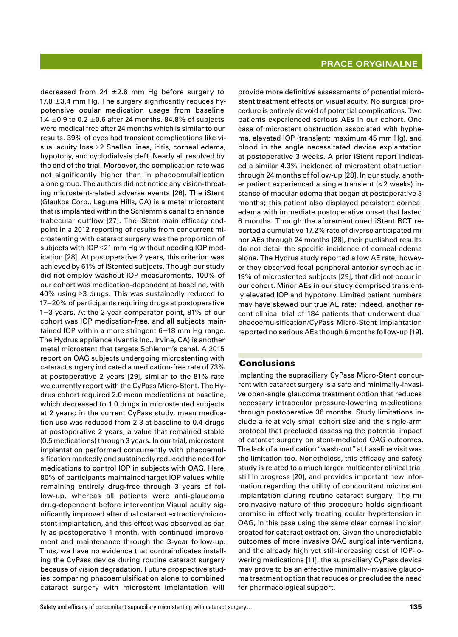decreased from 24  $\pm$ 2.8 mm Hg before surgery to 17.0  $\pm$ 3.4 mm Hg. The surgery significantly reduces hypotensive ocular medication usage from baseline 1.4  $\pm$ 0.9 to 0.2  $\pm$ 0.6 after 24 months. 84.8% of subjects were medical free after 24 months which is similar to our results. 39% of eyes had transient complications like visual acuity loss ≥2 Snellen lines, iritis, corneal edema, hypotony, and cyclodialysis cleft. Nearly all resolved by the end of the trial. Moreover, the complication rate was not significantly higher than in phacoemulsification alone group. The authors did not notice any vision-threating microstent-related adverse events [26]. The iStent (Glaukos Corp., Laguna Hills, CA) is a metal microstent that is implanted within the Schlemm's canal to enhance trabecular outflow [27]. The iStent main efficacy end‑ point in a 2012 reporting of results from concurrent microstenting with cataract surgery was the proportion of subjects with  $IOP \leq 21$  mm Hg without needing  $IOP$  medication [28]. At postoperative 2 years, this criterion was achieved by 61% of iStented subjects. Though our study did not employ washout IOP measurements, 100% of our cohort was medication‑dependent at baseline, with 40% using  $≥3$  drugs. This was sustainedly reduced to 17−20% of participants requiring drugs at postoperative 1−3 years. At the 2‑year comparator point, 81% of our cohort was IOP medication-free, and all subjects maintained IOP within a more stringent 6−18 mm Hg range. The Hydrus appliance (Ivantis Inc., Irvine, CA) is another metal microstent that targets Schlemm's canal. A 2015 report on OAG subjects undergoing microstenting with cataract surgery indicated a medication‑free rate of 73% at postoperative 2 years [29], similar to the 81% rate we currently report with the CyPass Micro-Stent. The Hydrus cohort required 2.0 mean medications at baseline, which decreased to 1.0 drugs in microstented subjects at 2 years; in the current CyPass study, mean medication use was reduced from 2.3 at baseline to 0.4 drugs at postoperative 2 years, a value that remained stable (0.5 medications) through 3 years. In our trial, microstent implantation performed concurrently with phacoemulsification markedly and sustainedly reduced the need for medications to control IOP in subjects with OAG. Here, 80% of participants maintained target IOP values while remaining entirely drug-free through 3 years of follow-up, whereas all patients were anti-glaucoma drug-dependent before intervention. Visual acuity significantly improved after dual cataract extraction/micro‑ stent implantation, and this effect was observed as early as postoperative 1-month, with continued improvement and maintenance through the 3-year follow-up. Thus, we have no evidence that contraindicates install‑ ing the CyPass device during routine cataract surgery because of vision degradation. Future prospective studies comparing phacoemulsification alone to combined cataract surgery with microstent implantation will

provide more definitive assessments of potential microstent treatment effects on visual acuity. No surgical procedure is entirely devoid of potential complications. Two patients experienced serious AEs in our cohort. One case of microstent obstruction associated with hyphema, elevated IOP (transient; maximum 45 mm Hg), and blood in the angle necessitated device explantation at postoperative 3 weeks. A prior iStent report indicated a similar 4.3% incidence of microstent obstruction through 24 months of follow-up [28]. In our study, another patient experienced a single transient (<2 weeks) in‑ stance of macular edema that began at postoperative 3 months; this patient also displayed persistent corneal edema with immediate postoperative onset that lasted 6 months. Though the aforementioned iStent RCT re‑ ported a cumulative 17.2% rate of diverse anticipated minor AEs through 24 months [28], their published results do not detail the specific incidence of corneal edema alone. The Hydrus study reported a low AE rate; however they observed focal peripheral anterior synechiae in 19% of microstented subjects [29], that did not occur in our cohort. Minor AEs in our study comprised transiently elevated IOP and hypotony. Limited patient numbers may have skewed our true AE rate; indeed, another recent clinical trial of 184 patients that underwent dual phacoemulsification/CyPass Micro‑Stent implantation reported no serious AEs though 6 months follow‑up [19].

#### Conclusions

Implanting the supraciliary CyPass Micro-Stent concurrent with cataract surgery is a safe and minimally-invasive open‑angle glaucoma treatment option that reduces necessary intraocular pressure‑lowering medications through postoperative 36 months. Study limitations in‑ clude a relatively small cohort size and the single‑arm protocol that precluded assessing the potential impact of cataract surgery on stent‑mediated OAG outcomes. The lack of a medication "wash-out" at baseline visit was the limitation too. Nonetheless, this efficacy and safety study is related to a much larger multicenter clinical trial still in progress [20], and provides important new information regarding the utility of concomitant microstent implantation during routine cataract surgery. The microinvasive nature of this procedure holds significant promise in effectively treating ocular hypertension in OAG, in this case using the same clear corneal incision created for cataract extraction. Given the unpredictable outcomes of more invasive OAG surgical interventions, and the already high yet still-increasing cost of IOP-lowering medications [11], the supraciliary CyPass device may prove to be an effective minimally-invasive glaucoma treatment option that reduces or precludes the need for pharmacological support.